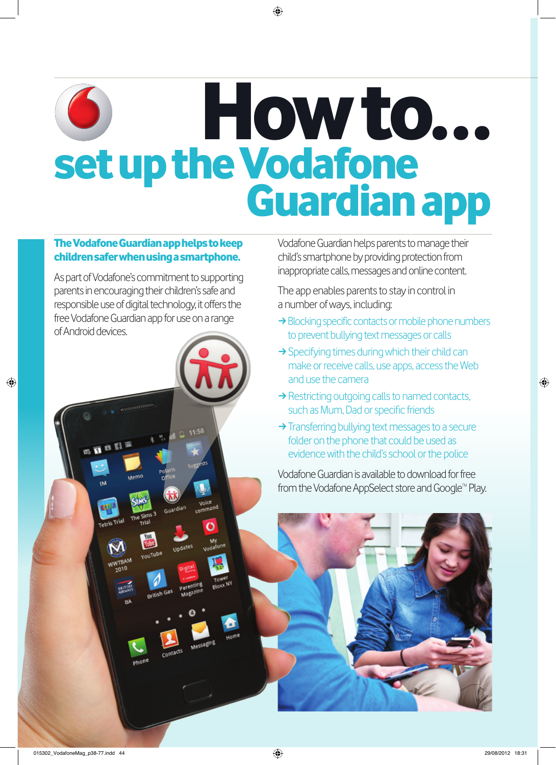## How to... O set up the Vodafone<br>Guardian app

## The Vodafone Guardian app helps to keep children safer when using a smartphone.

As part of Vodafone's commitment to supporting parents in encouraging their children's safe and responsible use of digital technology, it offers the free Vodafone Guardian app for use on a range of Android devices.

Voice<br>ommand

Õ

ner

Tetris Trial

**WWTBAM** 

Vodafone Guardian helps parents to manage their child's smartphone by providing protection from inappropriate calls, messages and online content.

The app enables parents to stay in control in a number of ways, including:

- $\rightarrow$  Blocking specific contacts or mobile phone numbers to prevent bullying text messages or calls
- $\rightarrow$  Specifying times during which their child can make or receive calls, use apps, access the Web and use the camera
- $\rightarrow$  Restricting outgoing calls to named contacts, such as Mum, Dad or specific friends
- $\rightarrow$  Transferring bullying text messages to a secure folder on the phone that could be used as evidence with the child's school or the police

Vodafone Guardian is available to download for free from the Vodafone AppSelect store and Google™ Play.